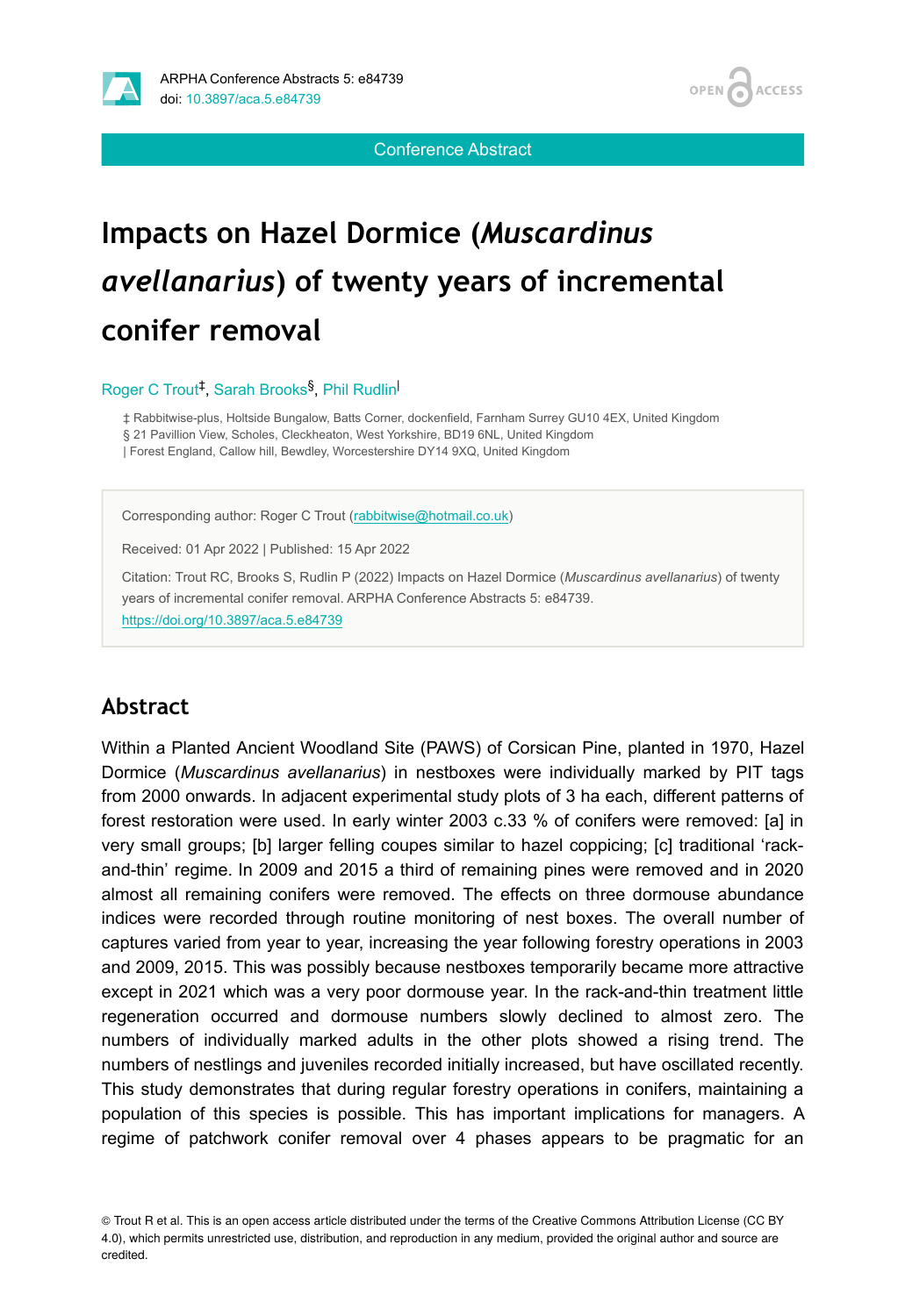

**ACCESS OPEN** 

Conference Abstract

# **Impacts on Hazel Dormice (***Muscardinus avellanarius***) of twenty years of incremental conifer removal**

#### Roger C Trout<sup>‡</sup>, Sarah Brooks<sup>§</sup>, Phil Rudlin<sup>|</sup>

‡ Rabbitwise-plus, Holtside Bungalow, Batts Corner, dockenfield, Farnham Surrey GU10 4EX, United Kingdom § 21 Pavillion View, Scholes, Cleckheaton, West Yorkshire, BD19 6NL, United Kingdom | Forest England, Callow hill, Bewdley, Worcestershire DY14 9XQ, United Kingdom

Corresponding author: Roger C Trout ([rabbitwise@hotmail.co.uk\)](mailto:rabbitwise@hotmail.co.uk)

Received: 01 Apr 2022 | Published: 15 Apr 2022

Citation: Trout RC, Brooks S, Rudlin P (2022) Impacts on Hazel Dormice (*Muscardinus avellanarius*) of twenty years of incremental conifer removal. ARPHA Conference Abstracts 5: e84739. <https://doi.org/10.3897/aca.5.e84739>

#### **Abstract**

Within a Planted Ancient Woodland Site (PAWS) of Corsican Pine, planted in 1970, Hazel Dormice (*Muscardinus avellanarius*) in nestboxes were individually marked by PIT tags from 2000 onwards. In adjacent experimental study plots of 3 ha each, different patterns of forest restoration were used. In early winter 2003 c.33 % of conifers were removed: [a] in very small groups; [b] larger felling coupes similar to hazel coppicing; [c] traditional 'rackand-thin' regime. In 2009 and 2015 a third of remaining pines were removed and in 2020 almost all remaining conifers were removed. The effects on three dormouse abundance indices were recorded through routine monitoring of nest boxes. The overall number of captures varied from year to year, increasing the year following forestry operations in 2003 and 2009, 2015. This was possibly because nestboxes temporarily became more attractive except in 2021 which was a very poor dormouse year. In the rack-and-thin treatment little regeneration occurred and dormouse numbers slowly declined to almost zero. The numbers of individually marked adults in the other plots showed a rising trend. The numbers of nestlings and juveniles recorded initially increased, but have oscillated recently. This study demonstrates that during regular forestry operations in conifers, maintaining a population of this species is possible. This has important implications for managers. A regime of patchwork conifer removal over 4 phases appears to be pragmatic for an

© Trout R et al. This is an open access article distributed under the terms of the Creative Commons Attribution License (CC BY 4.0), which permits unrestricted use, distribution, and reproduction in any medium, provided the original author and source are credited.